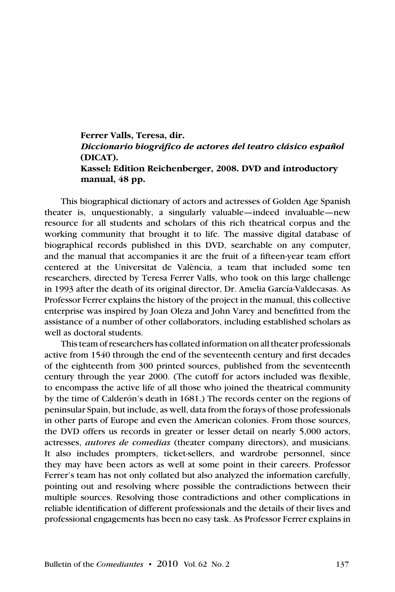## **Ferrer Valls, Teresa, dir.** *Diccionario biográfico de actores del teatro clásico español*  **(DICAT). Kassel: Edition Reichenberger, 2008. DVD and introductory manual, 48 pp.**

This biographical dictionary of actors and actresses of Golden Age Spanish theater is, unquestionably, a singularly valuable—indeed invaluable—new resource for all students and scholars of this rich theatrical corpus and the working community that brought it to life. The massive digital database of biographical records published in this DVD, searchable on any computer, and the manual that accompanies it are the fruit of a fifteen-year team effort centered at the Universitat de València, a team that included some ten researchers, directed by Teresa Ferrer Valls, who took on this large challenge in 1993 after the death of its original director, Dr. Amelia García-Valdecasas. As Professor Ferrer explains the history of the project in the manual, this collective enterprise was inspired by Joan Oleza and John Varey and benefitted from the assistance of a number of other collaborators, including established scholars as well as doctoral students.

This team of researchers has collated information on all theater professionals active from 1540 through the end of the seventeenth century and first decades of the eighteenth from 300 printed sources, published from the seventeenth century through the year 2000. (The cutoff for actors included was flexible, to encompass the active life of all those who joined the theatrical community by the time of Calderón's death in 1681.) The records center on the regions of peninsular Spain, but include, as well, data from the forays of those professionals in other parts of Europe and even the American colonies. From those sources, the DVD offers us records in greater or lesser detail on nearly 5,000 actors, actresses, *autores de comedias* (theater company directors), and musicians. It also includes prompters, ticket-sellers, and wardrobe personnel, since they may have been actors as well at some point in their careers. Professor Ferrer's team has not only collated but also analyzed the information carefully, pointing out and resolving where possible the contradictions between their multiple sources. Resolving those contradictions and other complications in reliable identification of different professionals and the details of their lives and professional engagements has been no easy task. As Professor Ferrer explains in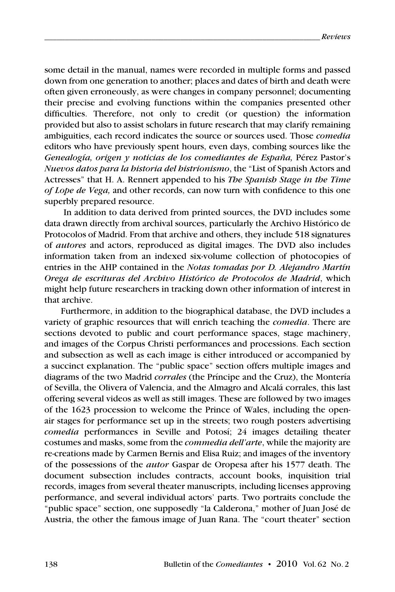some detail in the manual, names were recorded in multiple forms and passed down from one generation to another; places and dates of birth and death were often given erroneously, as were changes in company personnel; documenting their precise and evolving functions within the companies presented other difficulties. Therefore, not only to credit (or question) the information provided but also to assist scholars in future research that may clarify remaining ambiguities, each record indicates the source or sources used. Those *comedia*  editors who have previously spent hours, even days, combing sources like the *Genealogía, origen y noticias de los comediantes de España,* Pérez Pastor's *Nuevos datos para la historia del histrionismo*, the "List of Spanish Actors and Actresses" that H. A. Rennert appended to his *The Spanish Stage in the Time of Lope de Vega,* and other records, can now turn with confidence to this one superbly prepared resource.

 In addition to data derived from printed sources, the DVD includes some data drawn directly from archival sources, particularly the Archivo Histórico de Protocolos of Madrid. From that archive and others, they include 518 signatures of *autores* and actors, reproduced as digital images. The DVD also includes information taken from an indexed six-volume collection of photocopies of entries in the AHP contained in the *Notas tomadas por D. Alejandro Martín Orega de escrituras del Archivo Histórico de Protocolos de Madrid*, which might help future researchers in tracking down other information of interest in that archive.

Furthermore, in addition to the biographical database, the DVD includes a variety of graphic resources that will enrich teaching the *comedia*. There are sections devoted to public and court performance spaces, stage machinery, and images of the Corpus Christi performances and processions. Each section and subsection as well as each image is either introduced or accompanied by a succinct explanation. The "public space" section offers multiple images and diagrams of the two Madrid *corrales* (the Príncipe and the Cruz), the Montería of Sevilla, the Olivera of Valencia, and the Almagro and Alcalá corrales, this last offering several videos as well as still images. These are followed by two images of the 1623 procession to welcome the Prince of Wales, including the openair stages for performance set up in the streets; two rough posters advertising *comedia* performances in Seville and Potosí; 24 images detailing theater costumes and masks, some from the *commedia dell'arte*, while the majority are re-creations made by Carmen Bernis and Elisa Ruiz; and images of the inventory of the possessions of the *autor* Gaspar de Oropesa after his 1577 death. The document subsection includes contracts, account books, inquisition trial records, images from several theater manuscripts, including licenses approving performance, and several individual actors' parts. Two portraits conclude the "public space" section, one supposedly "la Calderona," mother of Juan José de Austria, the other the famous image of Juan Rana. The "court theater" section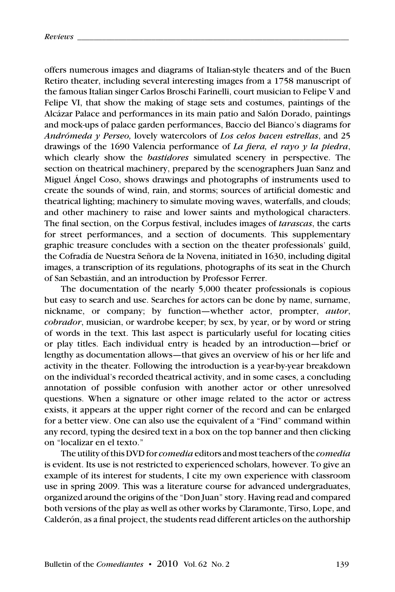offers numerous images and diagrams of Italian-style theaters and of the Buen Retiro theater, including several interesting images from a 1758 manuscript of the famous Italian singer Carlos Broschi Farinelli, court musician to Felipe V and Felipe VI, that show the making of stage sets and costumes, paintings of the Alcázar Palace and performances in its main patio and Salón Dorado, paintings and mock-ups of palace garden performances, Baccio del Bianco's diagrams for *Andrómeda y Perseo,* lovely watercolors of *Los celos hacen estrellas*, and 25 drawings of the 1690 Valencia performance of *La fiera, el rayo y la piedra*, which clearly show the *bastidores* simulated scenery in perspective. The section on theatrical machinery, prepared by the scenographers Juan Sanz and Miguel Ángel Coso, shows drawings and photographs of instruments used to create the sounds of wind, rain, and storms; sources of artificial domestic and theatrical lighting; machinery to simulate moving waves, waterfalls, and clouds; and other machinery to raise and lower saints and mythological characters. The final section, on the Corpus festival, includes images of *tarascas*, the carts for street performances, and a section of documents. This supplementary graphic treasure concludes with a section on the theater professionals' guild, the Cofradía de Nuestra Señora de la Novena, initiated in 1630, including digital images, a transcription of its regulations, photographs of its seat in the Church of San Sebastián, and an introduction by Professor Ferrer.

The documentation of the nearly 5,000 theater professionals is copious but easy to search and use. Searches for actors can be done by name, surname, nickname, or company; by function—whether actor, prompter, *autor*, *cobrador*, musician, or wardrobe keeper; by sex, by year, or by word or string of words in the text. This last aspect is particularly useful for locating cities or play titles. Each individual entry is headed by an introduction—brief or lengthy as documentation allows—that gives an overview of his or her life and activity in the theater. Following the introduction is a year-by-year breakdown on the individual's recorded theatrical activity, and in some cases, a concluding annotation of possible confusion with another actor or other unresolved questions. When a signature or other image related to the actor or actress exists, it appears at the upper right corner of the record and can be enlarged for a better view. One can also use the equivalent of a "Find" command within any record, typing the desired text in a box on the top banner and then clicking on "localizar en el texto."

The utility of this DVD for *comedia* editors and most teachers of the *comedia* is evident. Its use is not restricted to experienced scholars, however. To give an example of its interest for students, I cite my own experience with classroom use in spring 2009. This was a literature course for advanced undergraduates, organized around the origins of the "Don Juan" story. Having read and compared both versions of the play as well as other works by Claramonte, Tirso, Lope, and Calderón, as a final project, the students read different articles on the authorship